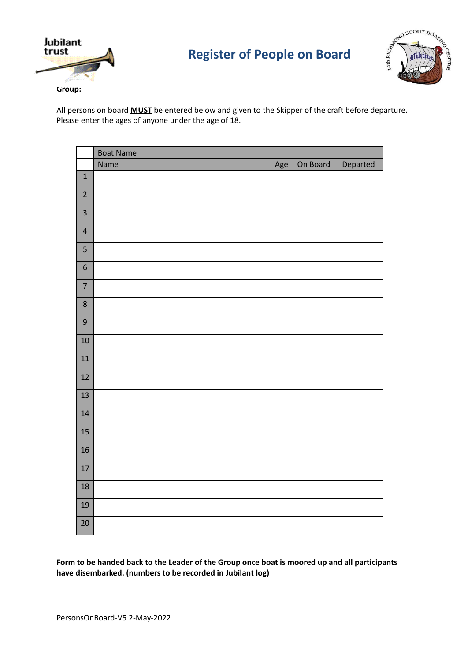



All persons on board **MUST** be entered below and given to the Skipper of the craft before departure. Please enter the ages of anyone under the age of 18.

|                         | <b>Boat Name</b> |     |          |          |
|-------------------------|------------------|-----|----------|----------|
|                         | Name             | Age | On Board | Departed |
| $\mathbf{1}$            |                  |     |          |          |
| $\overline{2}$          |                  |     |          |          |
| $\overline{\mathbf{3}}$ |                  |     |          |          |
| $\overline{\mathbf{r}}$ |                  |     |          |          |
| 5                       |                  |     |          |          |
| 6                       |                  |     |          |          |
| $\overline{7}$          |                  |     |          |          |
| $\bf 8$                 |                  |     |          |          |
| $\boldsymbol{9}$        |                  |     |          |          |
| 10                      |                  |     |          |          |
| 11                      |                  |     |          |          |
| 12                      |                  |     |          |          |
| 13                      |                  |     |          |          |
| 14                      |                  |     |          |          |
| 15                      |                  |     |          |          |
| 16                      |                  |     |          |          |
| $17\,$                  |                  |     |          |          |
| 18                      |                  |     |          |          |
| 19                      |                  |     |          |          |
| 20                      |                  |     |          |          |

Form to be handed back to the Leader of the Group once boat is moored up and all participants **have disembarked. (numbers to be recorded in Jubilant log)**